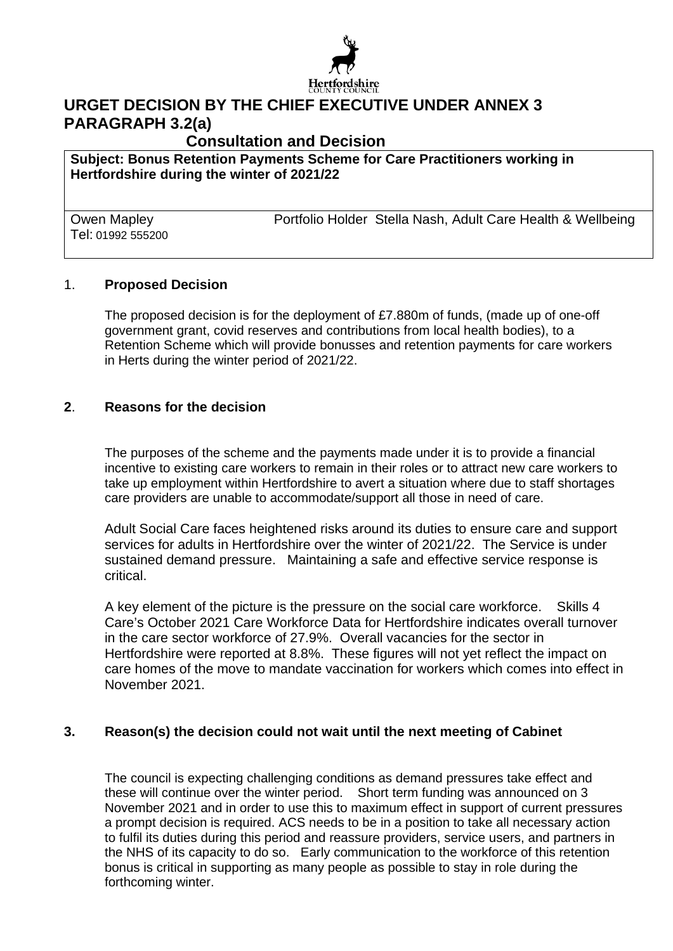

# **URGET DECISION BY THE CHIEF EXECUTIVE UNDER ANNEX 3 PARAGRAPH 3.2(a)**

**Consultation and Decision** 

**Subject: Bonus Retention Payments Scheme for Care Practitioners working in Hertfordshire during the winter of 2021/22** 

Tel: 01992 555200

Owen Mapley Portfolio Holder Stella Nash, Adult Care Health & Wellbeing

#### 1. **Proposed Decision**

The proposed decision is for the deployment of £7.880m of funds, (made up of one-off government grant, covid reserves and contributions from local health bodies), to a Retention Scheme which will provide bonusses and retention payments for care workers in Herts during the winter period of 2021/22.

#### **2**. **Reasons for the decision**

The purposes of the scheme and the payments made under it is to provide a financial incentive to existing care workers to remain in their roles or to attract new care workers to take up employment within Hertfordshire to avert a situation where due to staff shortages care providers are unable to accommodate/support all those in need of care.

Adult Social Care faces heightened risks around its duties to ensure care and support services for adults in Hertfordshire over the winter of 2021/22. The Service is under sustained demand pressure. Maintaining a safe and effective service response is critical.

A key element of the picture is the pressure on the social care workforce. Skills 4 Care's October 2021 Care Workforce Data for Hertfordshire indicates overall turnover in the care sector workforce of 27.9%. Overall vacancies for the sector in Hertfordshire were reported at 8.8%. These figures will not yet reflect the impact on care homes of the move to mandate vaccination for workers which comes into effect in November 2021.

### **3. Reason(s) the decision could not wait until the next meeting of Cabinet**

The council is expecting challenging conditions as demand pressures take effect and these will continue over the winter period. Short term funding was announced on 3 November 2021 and in order to use this to maximum effect in support of current pressures a prompt decision is required. ACS needs to be in a position to take all necessary action to fulfil its duties during this period and reassure providers, service users, and partners in the NHS of its capacity to do so. Early communication to the workforce of this retention bonus is critical in supporting as many people as possible to stay in role during the forthcoming winter.